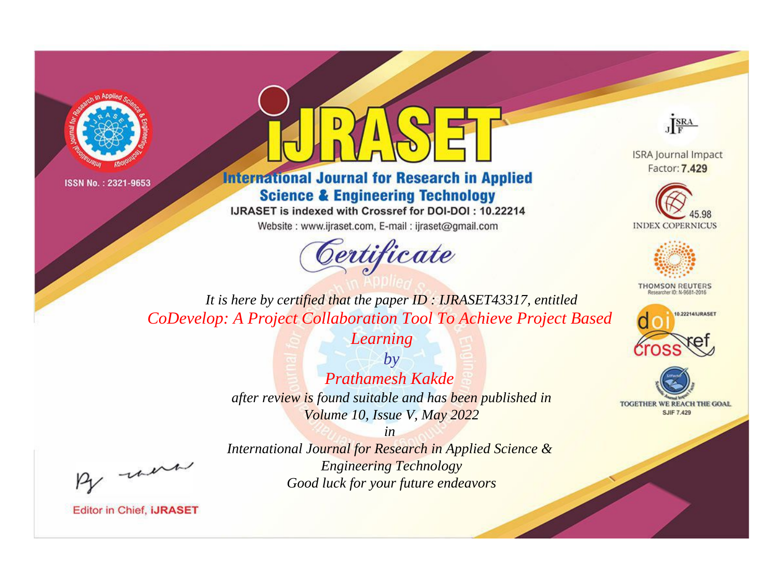



**International Journal for Research in Applied Science & Engineering Technology** 

IJRASET is indexed with Crossref for DOI-DOI: 10.22214

Website: www.ijraset.com, E-mail: ijraset@gmail.com





**ISRA Journal Impact** Factor: 7.429





**THOMSON REUTERS** 



TOGETHER WE REACH THE GOAL **SJIF 7.429** 

*It is here by certified that the paper ID : IJRASET43317, entitled CoDevelop: A Project Collaboration Tool To Achieve Project Based* 

*Learning*

*by Prathamesh Kakde after review is found suitable and has been published in Volume 10, Issue V, May 2022*

, were

*International Journal for Research in Applied Science & Engineering Technology Good luck for your future endeavors*

*in*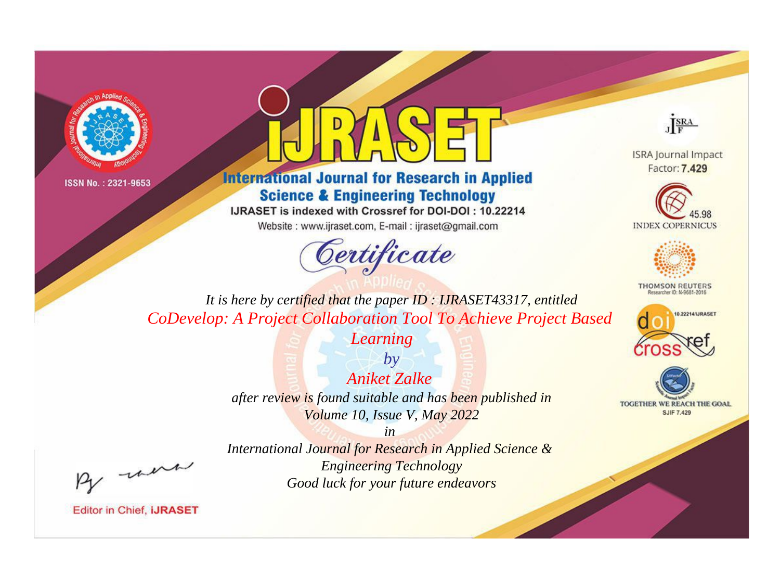



**International Journal for Research in Applied Science & Engineering Technology** 

IJRASET is indexed with Crossref for DOI-DOI: 10.22214

Website: www.ijraset.com, E-mail: ijraset@gmail.com





**ISRA Journal Impact** Factor: 7.429





**THOMSON REUTERS** 



TOGETHER WE REACH THE GOAL **SJIF 7.429** 

*It is here by certified that the paper ID : IJRASET43317, entitled CoDevelop: A Project Collaboration Tool To Achieve Project Based* 

*Learning*

*by Aniket Zalke after review is found suitable and has been published in Volume 10, Issue V, May 2022*

, un

*International Journal for Research in Applied Science & Engineering Technology Good luck for your future endeavors*

*in*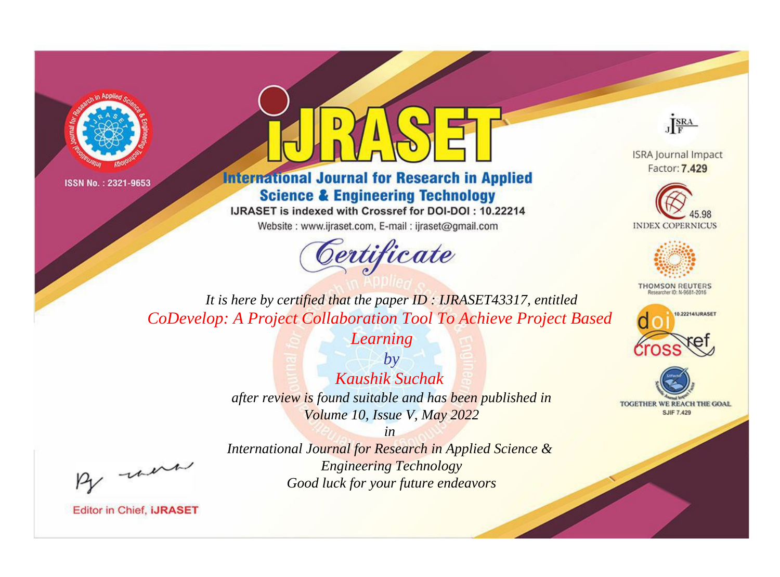



**International Journal for Research in Applied Science & Engineering Technology** 

IJRASET is indexed with Crossref for DOI-DOI: 10.22214

Website: www.ijraset.com, E-mail: ijraset@gmail.com





**ISRA Journal Impact** Factor: 7.429





**THOMSON REUTERS** 



TOGETHER WE REACH THE GOAL **SJIF 7.429** 

*It is here by certified that the paper ID : IJRASET43317, entitled CoDevelop: A Project Collaboration Tool To Achieve Project Based* 

*Learning*

*by Kaushik Suchak after review is found suitable and has been published in Volume 10, Issue V, May 2022*

, un

*International Journal for Research in Applied Science & Engineering Technology Good luck for your future endeavors*

*in*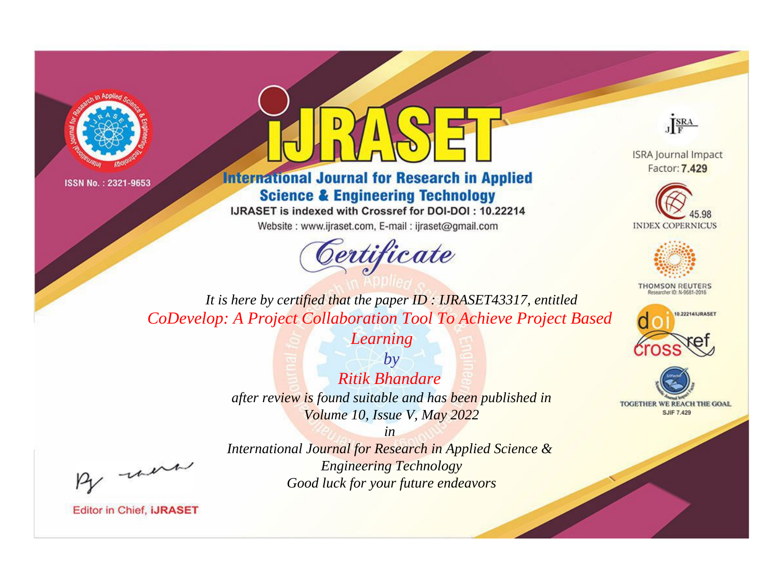



**International Journal for Research in Applied Science & Engineering Technology** 

IJRASET is indexed with Crossref for DOI-DOI: 10.22214

Website: www.ijraset.com, E-mail: ijraset@gmail.com





**ISRA Journal Impact** Factor: 7.429





**THOMSON REUTERS** 



TOGETHER WE REACH THE GOAL **SJIF 7.429** 

*It is here by certified that the paper ID : IJRASET43317, entitled CoDevelop: A Project Collaboration Tool To Achieve Project Based* 

*Learning*

*by Ritik Bhandare after review is found suitable and has been published in Volume 10, Issue V, May 2022*

, were

*International Journal for Research in Applied Science & Engineering Technology Good luck for your future endeavors*

*in*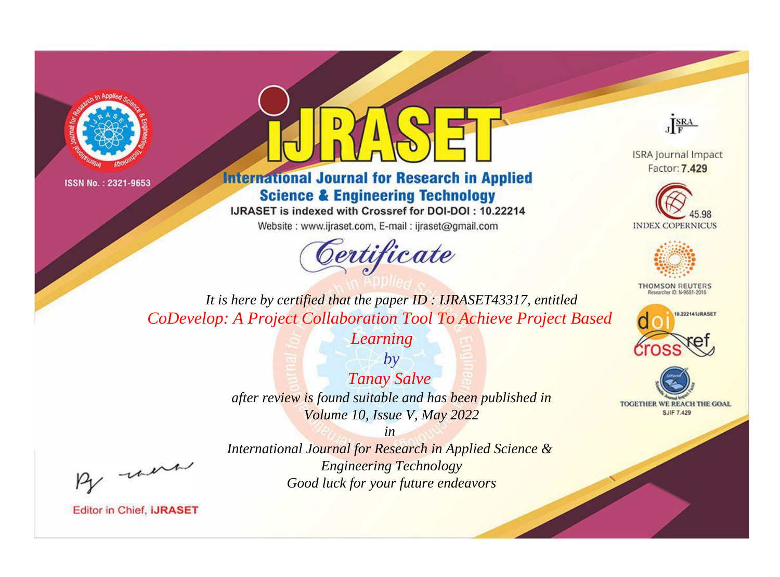



**International Journal for Research in Applied Science & Engineering Technology** 

IJRASET is indexed with Crossref for DOI-DOI: 10.22214

Website: www.ijraset.com, E-mail: ijraset@gmail.com





**ISRA Journal Impact** Factor: 7.429





**THOMSON REUTERS** 



TOGETHER WE REACH THE GOAL **SJIF 7.429** 

*It is here by certified that the paper ID : IJRASET43317, entitled CoDevelop: A Project Collaboration Tool To Achieve Project Based* 

*Learning*

*by Tanay Salve after review is found suitable and has been published in Volume 10, Issue V, May 2022*

, un

*International Journal for Research in Applied Science & Engineering Technology Good luck for your future endeavors*

*in*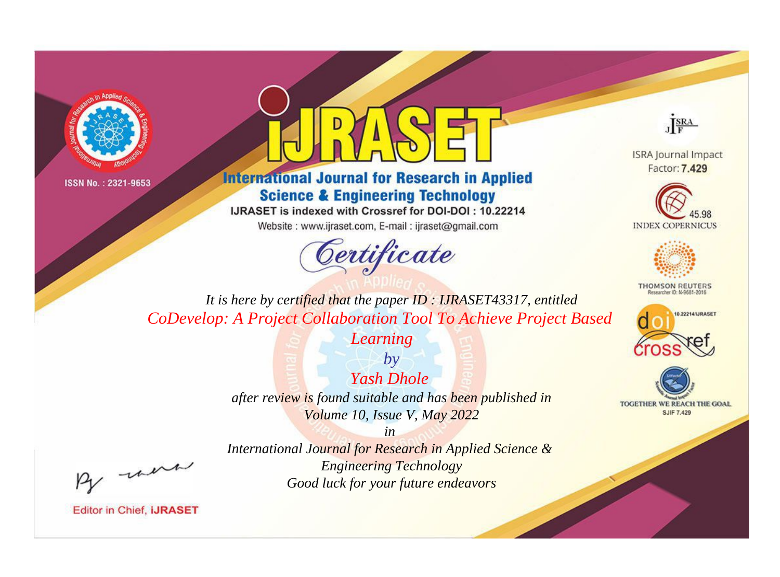



## **International Journal for Research in Applied Science & Engineering Technology**

IJRASET is indexed with Crossref for DOI-DOI: 10.22214

Website: www.ijraset.com, E-mail: ijraset@gmail.com



JERA

**ISRA Journal Impact** Factor: 7.429





**THOMSON REUTERS** 



TOGETHER WE REACH THE GOAL **SJIF 7.429** 

*It is here by certified that the paper ID : IJRASET43317, entitled CoDevelop: A Project Collaboration Tool To Achieve Project Based* 

*Learning*

*by Yash Dhole after review is found suitable and has been published in Volume 10, Issue V, May 2022*

, un

*International Journal for Research in Applied Science & Engineering Technology Good luck for your future endeavors*

*in*